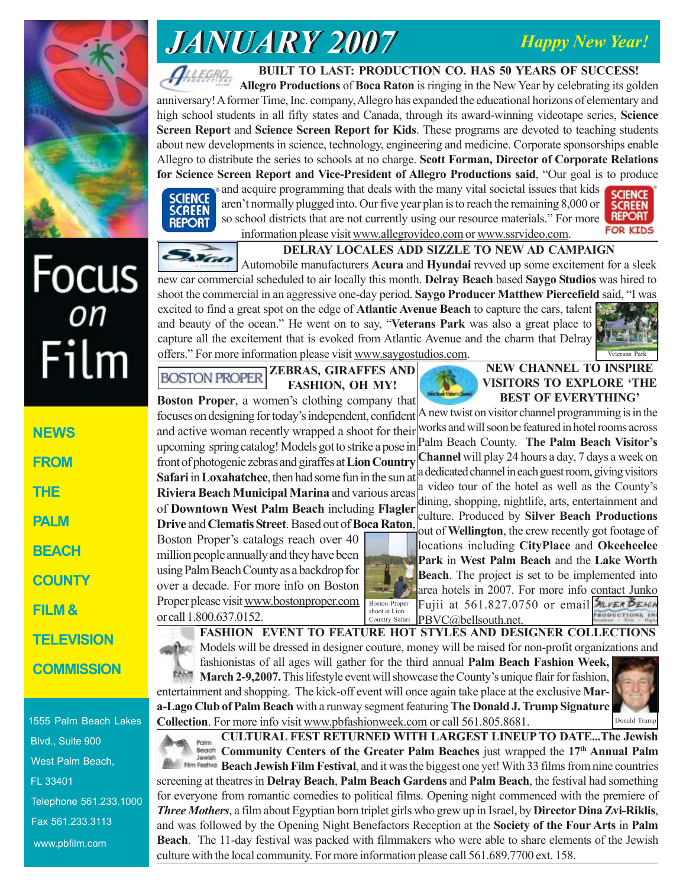### *Happy New Year!*



# *JANUARY 2007 JANUARY 2007*

**BUILT TO LAST: PRODUCTION CO. HAS 50 YEARS OF SUCCESS!**

**Allegro Productions** of **Boca Raton** is ringing in the New Year by celebrating its golden anniversary! A former Time, Inc. company, Allegro has expanded the educational horizons of elementary and high school students in all fifty states and Canada, through its award-winning videotape series, **Science Screen Report** and **Science Screen Report for Kids**. These programs are devoted to teaching students about new developments in science, technology, engineering and medicine. Corporate sponsorships enable Allegro to distribute the series to schools at no charge. **Scott Forman, Director of Corporate Relations for Science Screen Report and Vice-President of Allegro Productions said**, "Our goal is to produce



and acquire programming that deals with the many vital societal issues that kids aren't normally plugged into. Our five year plan is to reach the remaining 8,000 or so school districts that are not currently using our resource materials." For more



Focus<br><sub>on</sub> Film

**NEWS FROM THE PALM BEACH COUNTY FILM & TELEVISION**



1555 Palm Beach Lakes Blvd., Suite 900 West Palm Beach, FL 33401 Telephone 561.233.1000 Fax 561.233.3113 www.pbfilm.com

information please visit www.allegrovideo.com or www.ssrvideo.com. **DELRAY LOCALES ADD SIZZLE TO NEW AD CAMPAIGN**

Automobile manufacturers **Acura** and **Hyundai** revved up some excitement for a sleek new car commercial scheduled to air locally this month. **Delray Beach** based **Saygo Studios** was hired to shoot the commercial in an aggressive one-day period. **Saygo Producer Matthew Piercefield** said, "I was excited to find a great spot on the edge of **Atlantic Avenue Beach** to capture the cars, talent and beauty of the ocean." He went on to say, "**Veterans Park** was also a great place to capture all the excitement that is evoked from Atlantic Avenue and the charm that Delray offers." For more information please visit www.saygostudios.com.



#### **ZEBRAS, GIRAFFES AND BOSTON PROPER FASHION, OH MY!**

**Boston Proper**, a women's clothing company that focuses on designing for today's independent, confident and active woman recently wrapped a shoot for their upcoming spring catalog! Models got to strike a pose in front of photogenic zebras and giraffes at **Lion Country Safari** in **Loxahatchee**, then had some fun in the sun at **Riviera Beach Municipal Marina** and various areas of **Downtown West Palm Beach** including **Flagler Drive** and **Clematis Street**. Based out of **Boca Raton**,

Boston Proper's catalogs reach over 40 million people annually and they have been using Palm Beach County as a backdrop for over a decade. For more info on Boston Proper please visit www.bostonproper.com or call 1.800.637.0152.

Poim



#### **NEW CHANNEL TO INSPIRE VISITORS TO EXPLORE 'THE BEST OF EVERYTHING'**

A new twist on visitor channel programming is in the works and will soon be featured in hotel rooms across Palm Beach County. **The Palm Beach Visitor's Channel** will play 24 hours a day, 7 days a week on a dedicated channel in each guest room, giving visitors a video tour of the hotel as well as the County's dining, shopping, nightlife, arts, entertainment and culture. Produced by **Silver Beach Productions** out of **Wellington**, the crew recently got footage of



locations including **CityPlace** and **Okeeheelee Park** in **West Palm Beach** and the **Lake Worth Beach**. The project is set to be implemented into area hotels in 2007. For more info contact Junko Fujii at 561.827.0750 or email MUVER BEACH shoot at Lion<br>Country Safari PBVC@bellsouth.net. **FRODUCTIONS** 

**FASHION EVENT TO FEATURE HOT STYLES AND DESIGNER COLLECTIONS** Models will be dressed in designer couture, money will be raised for non-profit organizations and

fashionistas of all ages will gather for the third annual **Palm Beach Fashion Week, March 2-9,2007.** This lifestyle event will showcase the County's unique flair for fashion, entertainment and shopping. The kick-off event will once again take place at the exclusive **Mara-Lago Club of Palm Beach** with a runway segment featuring **The Donald J. Trump Signature Collection**. For more info visit www.pbfashionweek.com or call 561.805.8681.



**CULTURAL FEST RETURNED WITH LARGEST LINEUP TO DATE...The Jewish Community Centers of the Greater Palm Beaches** just wrapped the 17<sup>th</sup> Annual Palm

**Beach Jewish Film Festival**, and it was the biggest one yet! With 33 films from nine countries screening at theatres in **Delray Beach**, **Palm Beach Gardens** and **Palm Beach**, the festival had something for everyone from romantic comedies to political films. Opening night commenced with the premiere of *Three Mothers*, a film about Egyptian born triplet girls who grew up in Israel, by **Director Dina Zvi-Riklis**, and was followed by the Opening Night Benefactors Reception at the **Society of the Four Arts** in **Palm Beach**. The 11-day festival was packed with filmmakers who were able to share elements of the Jewish culture with the local community. For more information please call 561.689.7700 ext. 158.